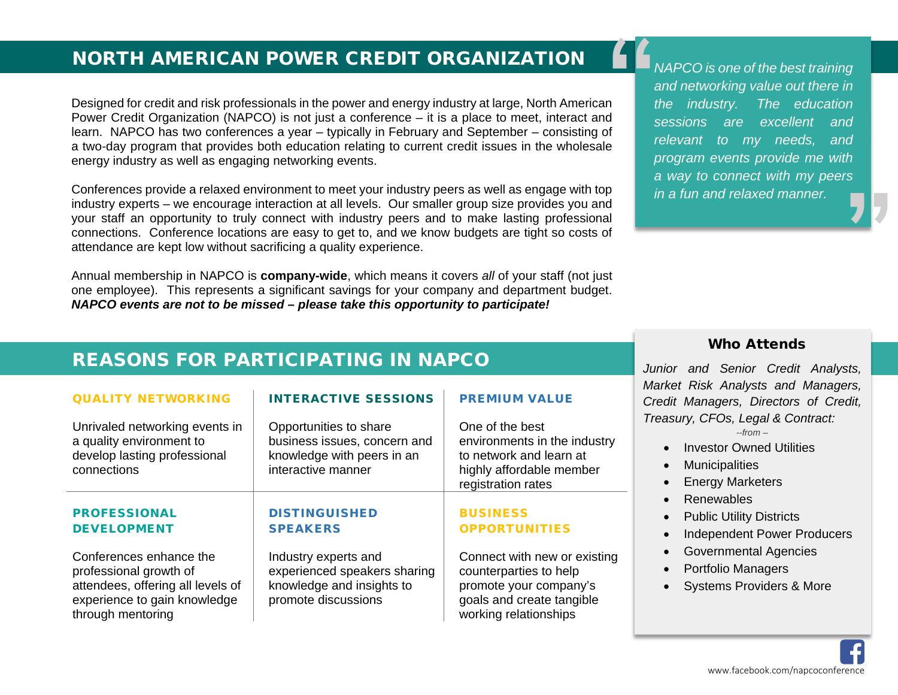## **NORTH AMERICAN POWER CREDIT ORGANIZATION ■■ NAPCO is one of the best training**

Designed for credit and risk professionals in the power and energy industry at large, North American Power Credit Organization (NAPCO) is not just a conference – it is a place to meet, interact and learn. NAPCO has two conferences a year – typically in February and September – consisting of a two-day program that provides both education relating to current credit issues in the wholesale energy industry as well as engaging networking events.  $\left( \begin{array}{c} \begin{array}{c} \begin{array}{c} \begin{array}{c} \end{array}\\ \begin{array}{c} \end{array}\\ \begin{array}{c} \end{array}\\ \begin{array}{c} \end{array}\\ \begin{array}{c} \end{array}\\ \begin{array}{c} \end{array}\\ \begin{array}{c} \end{array}\\ \begin{array}{c} \end{array}\\ \begin{array}{c} \end{array}\\ \begin{array}{c} \end{array}\\ \begin{array}{c} \end{array}\\ \begin{array}{c} \end{array}\\ \begin{array}{c} \end{array}\\ \begin{array}{c} \end{array}\\ \begin{array}{c} \end{array}\\ \begin{array}{c} \end{array}\\ \begin{array$ 

Conferences provide a relaxed environment to meet your industry peers as well as engage with top industry experts – we encourage interaction at all levels. Our smaller group size provides you and your staff an opportunity to truly connect with industry peers and to make lasting professional connections. Conference locations are easy to get to, and we know budgets are tight so costs of attendance are kept low without sacrificing a quality experience.

Annual membership in NAPCO is **company-wide**, which means it covers *all* of your staff (not just one employee). This represents a significant savings for your company and department budget. *NAPCO events are not to be missed – please take this opportunity to participate!*

*and networking value out there in the industry. The education sessions are excellent and relevant to my needs, and program events provide me with a way to connect with my peers in a fun and relaxed manner.* .<br>77

## REASONS FOR PARTICIPATING IN NAPCO

| <b>QUALITY NETWORKING</b>                                                                                                                   | <b>INTERACTIVE SESSIONS</b>                                                                                | <b>PREMIUM VALUE</b>                                                                                                                   |
|---------------------------------------------------------------------------------------------------------------------------------------------|------------------------------------------------------------------------------------------------------------|----------------------------------------------------------------------------------------------------------------------------------------|
| Unrivaled networking events in<br>a quality environment to<br>develop lasting professional<br>connections                                   | Opportunities to share<br>business issues, concern and<br>knowledge with peers in an<br>interactive manner | One of the best<br>environments in the industry<br>to network and learn at<br>highly affordable member<br>registration rates           |
| <b>PROFESSIONAL</b><br><b>DEVELOPMENT</b>                                                                                                   | <b>DISTINGUISHED</b><br><b>SPEAKERS</b>                                                                    | <b>BUSINESS</b><br><b>OPPORTUNITIES</b>                                                                                                |
| Conferences enhance the<br>professional growth of<br>attendees, offering all levels of<br>experience to gain knowledge<br>through mentoring | Industry experts and<br>experienced speakers sharing<br>knowledge and insights to<br>promote discussions   | Connect with new or existing<br>counterparties to help<br>promote your company's<br>goals and create tangible<br>working relationships |

#### Who Attends

*Junior and Senior Credit Analysts, Market Risk Analysts and Managers, Credit Managers, Directors of Credit, Treasury, CFOs, Legal & Contract: --from –*

- Investor Owned Utilities
- **Municipalities**
- **Energy Marketers**
- Renewables
- Public Utility Districts
- Independent Power Producers
- Governmental Agencies
- Portfolio Managers
- Systems Providers & More